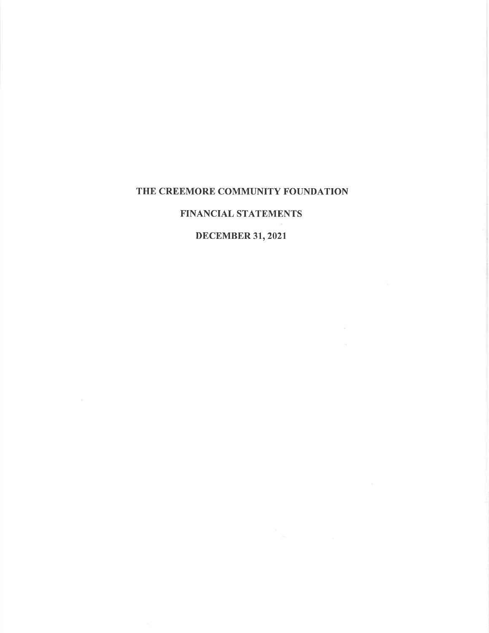# THE CREEMORE COMMUNITY FOUNDATION

# FINANCIAL STATEMENTS

# DECEMBER 31,2021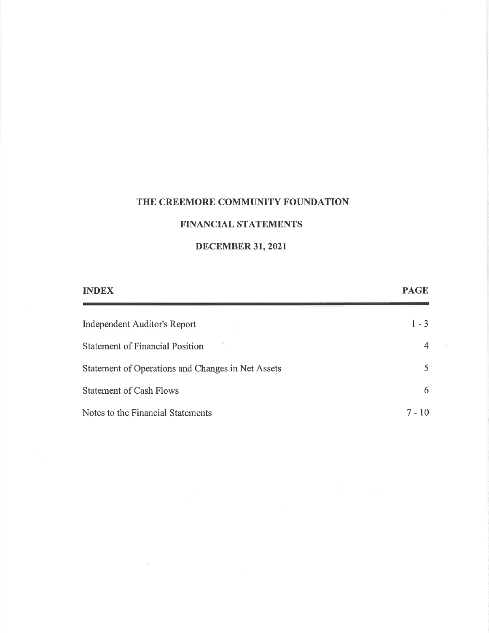# THE CREEMORE COMMUNITY FOUNDATION

# FINANCIAL STATEMENTS

# **DECEMBER 31, 2021**

| <b>INDEX</b>                                      | <b>PAGE</b> |
|---------------------------------------------------|-------------|
| Independent Auditor's Report                      | $1 - 3$     |
| <b>Statement of Financial Position</b>            | 4           |
| Statement of Operations and Changes in Net Assets | 5.          |
| <b>Statement of Cash Flows</b>                    | 6           |
| Notes to the Financial Statements                 | $7 -$<br>10 |

 $\mathcal{L}^{\mathcal{L}}$ 

 $\alpha$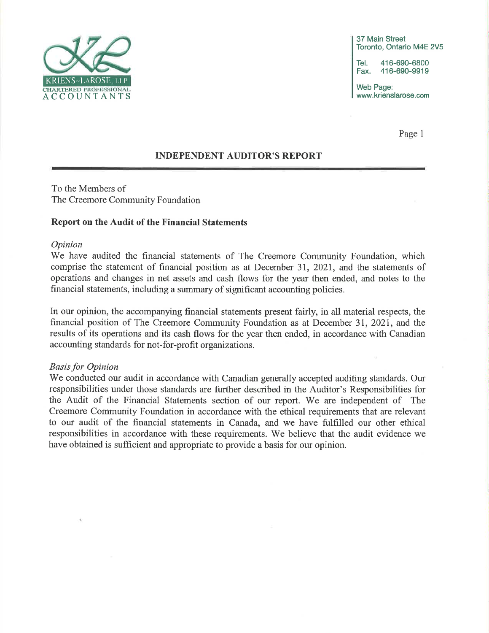

37 Main Street Toronto, Ontario M4E 2V5

Tel. 416-690-6800<br>Fax. 416-690-9919 Fax. 416-690-9919

Web Page: www.krienslarose.com

Page <sup>1</sup>

### INDEPENDENT AUDITOR'S REPORT

To the Members of The Creemore Community Foundation

### Report on the Audit of the Financial Statements

### Opinion

We have audited the financial statements of The Creemore Community Foundation, which comprise the statement of financial position as at December 31,2021, and the statements of operations and changes in net assets and cash flows for the year then ended, and notes to the financial statements, including a summary of significant accounting policies.

In our opinion, the accompanying financial statements present fairly, in all material respects, the financial position of The Creemore Community Foundation as at December 31, 2021, and the results of its operations and its cash flows for the year then ended, in accordance with Canadian accounting standards for not-for-profit organizations.

#### Basis for Opinion

We conducted our audit in accordance with Canadian generally accepted auditing standards. Our responsibilities under those standards are further described in the Auditor's Responsibilities for the Audit of the Financial Statements section of our report. We are independent of The Creemore Community Foundation in accordance with the ethical requirements that are relevant to our audit of the financial statements in Canada, and we have fulfilled our other ethical responsibilities in accordance with these requirements. We believe that the audit evidence we have obtained is sufficient and appropriate to provide a basis for.our opinion.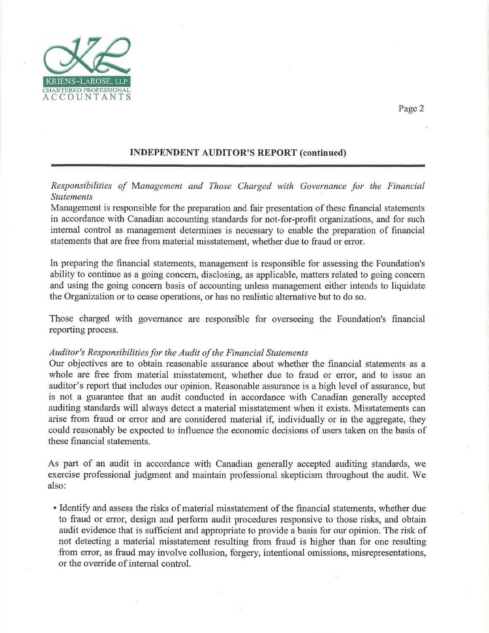

## INDEPENDENT AUDITOR'S REPORT (continued)

# Responsibilities of Management and Those Charged with Governance for the Financial Statements

Management is responsible for the preparation and fair presentation of these financial statements in accordance with Canadian accounting standards for not-for-profit organizations, and for such internal control as management determines is necessary to enable the preparation of financial statements that are free from material misstatement, whether due to fraud or error.

In preparing the financial statements, management is responsible for assessing the Foundation's ability to continue as a going concern, disclosing, as applicable, matters related to going concern and using the going concern basis of accounting unless management either intends to liquidate the Organization or to cease operations, or has no realistic alternative but to do so.

Those charged with governance are responsible for overseeing the Foundation's financial reporting process.

### Auditor's Responsibilities for the Audit of the Financial Statements

Our objectives are to obtain reasonable assurance about whether the financial statements as a whole are free from material misstatement, whether due to fraud or error, and to issue an auditor's report that includes our opinion. Reasonable assurance is a high level of assurance, but is not a guarantee that an audit conducted in accordance with Canadian generally accepted auditing standards will always detect a material misstatement when it exists. Misstatements can arise from fraud or error and are considered material if, individually or in the aggregate, they could reasonably be expected to influence the economic decisions of users taken on the basis of these financial statements.

As part of an audit in accordance with Canadian generally accepted auditing standards, we exercise professional judgment and maintain professional skepticism throughout the audit. We also:

• Identify and assess the risks of material misstatement of the financial statements, whether due to fraud or error, design and perform audit procedures responsive to those risks, and obtain audit evidence that is sufficient and appropriate to provide a basis for our opinion. The risk of not detecting a material misstatement resulting from fraud is higher than for one resulting from error, as fraud may involve collusion, forgery, intentional omissions, misrepresentations, or the override of internal control.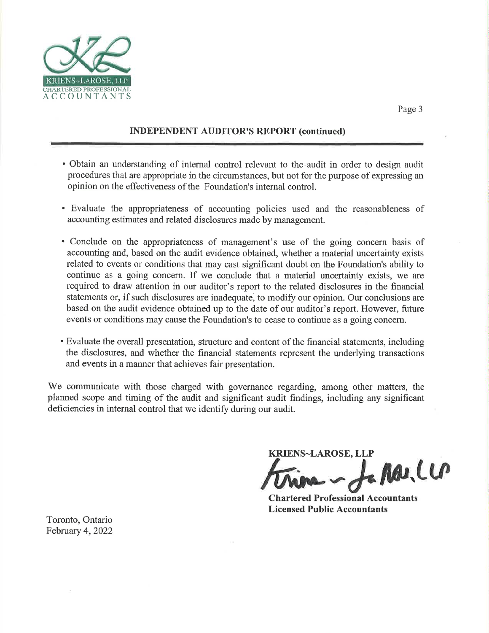

# INDEPENDENT AUDITOR'S REPORT (continued)

- ' Obtain an understanding of intemal control relevant to the audit in order to design audit procedures that are appropriate in the circumstances, but not for the purpose of expressing an opinion on the effectiveness of the Foundation's internal control.
- ' Evaluate the appropriateness of accounting policies used and the reasonableness of accounting estimates and related disclosures made by management.
- . Conclude on the appropriateness of management's use of the going concern basis of accounting and, based on the audit evidence obtained, whether a material uncertainty exists related to events or conditions that may cast significant doubt on the Foundation's ability to continue as a going concern. If we conclude that a material uncertainty exists, we are required to draw attention in our auditor's report to the related disclosures in the financial statements or, if such disclosures are inadequate, to modify our opinion. Our conclusions are based on the audit evidence obtained up to the date of our auditor's report. However, future events or conditions may cause the Foundation's to cease to continue as a going concem.
- ' Evaluate the overall presentation, structure and content of the financial statements, including the disclosures, and whether the financial statements represent the underlying transactions and events in a manner that achieves fair presentation.

We communicate with those charged with governance regarding, among other matters, the planned scope and timing of the audit and significant audit findings, including any significant deficiencies in internal control that we identify during our audit.

KRIENS~LAROSE, LLP

 $f_n$ Rev. L $w$ 

Chartered Professional Accountants Licensed Public Accountants

Toronto, Ontario February 4,2022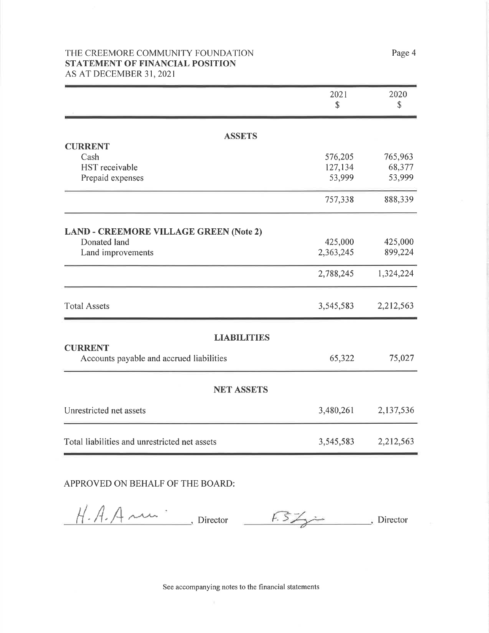## THE CREEMORE COMMUNITY FOUNDATION STATEMENT OF FINANCIAL POSITION AS AT DECEMBER 3I, 2O2I

|                                                            | 2021<br>\$ | 2020<br>\$ |
|------------------------------------------------------------|------------|------------|
| <b>ASSETS</b>                                              |            |            |
| <b>CURRENT</b><br>Cash                                     | 576,205    | 765,963    |
| HST receivable                                             | 127,134    | 68,377     |
| Prepaid expenses                                           | 53,999     | 53,999     |
|                                                            | 757,338    | 888,339    |
| <b>LAND - CREEMORE VILLAGE GREEN (Note 2)</b>              |            |            |
| Donated land                                               | 425,000    | 425,000    |
| Land improvements                                          | 2,363,245  | 899,224    |
|                                                            | 2,788,245  | 1,324,224  |
| <b>Total Assets</b>                                        | 3,545,583  | 2,212,563  |
| <b>LIABILITIES</b>                                         |            |            |
| <b>CURRENT</b><br>Accounts payable and accrued liabilities | 65,322     | 75,027     |
| <b>NET ASSETS</b>                                          |            |            |
| Unrestricted net assets                                    | 3,480,261  | 2,137,536  |
| Total liabilities and unrestricted net assets              | 3,545,583  | 2,212,563  |

### APPROVED ON BEHALF OF THE BOARD:

Director  $F: \longrightarrow$  Director

See accompanying notes to the financial statements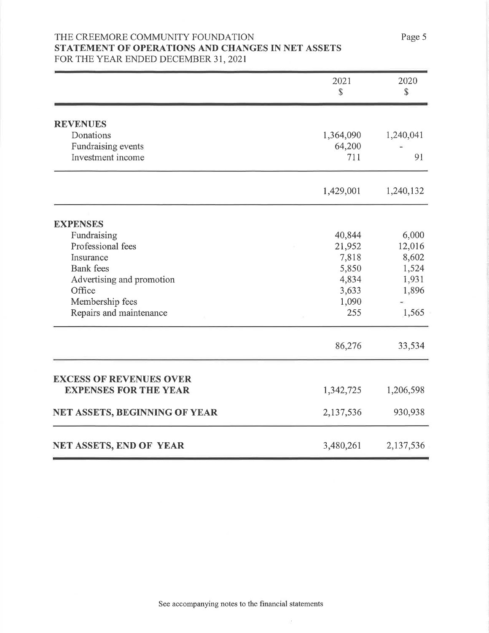# THE CREEMORE COMMUNITY FOUNDATION STATEMENT OF OPERATIONS AND CHANGES IN NET ASSETS FOR THE YEAR ENDED DECEMBER 31, 2021

|                                | 2021<br>\$ | 2020<br>\$ |
|--------------------------------|------------|------------|
| <b>REVENUES</b>                |            |            |
| Donations                      | 1,364,090  | 1,240,041  |
| Fundraising events             | 64,200     |            |
| Investment income              | 711        | 91         |
|                                | 1,429,001  | 1,240,132  |
| <b>EXPENSES</b>                |            |            |
| Fundraising                    | 40,844     | 6,000      |
| Professional fees              | 21,952     | 12,016     |
| Insurance                      | 7,818      | 8,602      |
| <b>Bank</b> fees               | 5,850      | 1,524      |
| Advertising and promotion      | 4,834      | 1,931      |
| Office                         | 3,633      | 1,896      |
| Membership fees                | 1,090      |            |
| Repairs and maintenance        | 255        | 1,565      |
|                                | 86,276     | 33,534     |
| <b>EXCESS OF REVENUES OVER</b> |            |            |
| <b>EXPENSES FOR THE YEAR</b>   | 1,342,725  | 1,206,598  |
| NET ASSETS, BEGINNING OF YEAR  | 2,137,536  | 930,938    |
| NET ASSETS, END OF YEAR        | 3,480,261  | 2,137,536  |

See accompanying notes to the financial statements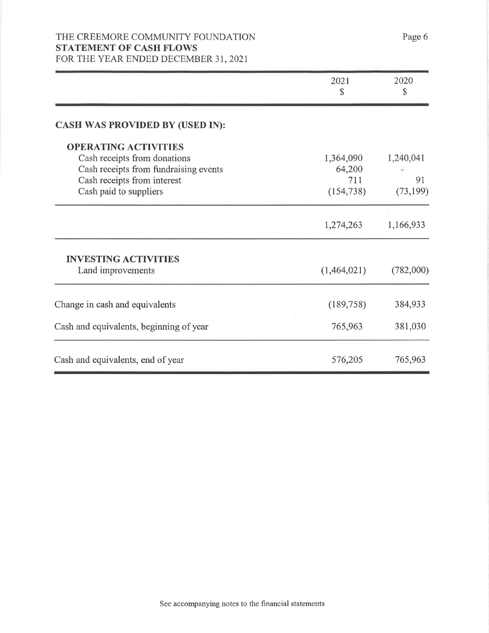# THE CREEMORE COMMUNITY FOUNDATION STATEMENT OF CASH FLOWS FOR THE YEAR ENDED DECEMBER 31, 2021

2021 \$ 2020 \$ CASH WAS PROVIDED BY (USED IN): OPERATING ACTIVITIES Cash receipts from donations Cash receipts from fundraising events Cash receipts from interest Cash paid to suppliers 1,364,090 64,200 711  $(154,738)$ 1,240,041 91  $(73,199)$ 1,274,263 1,166,933 INVESTING ACTIVITIES Land improvements (1,464,021) (782,000) Change in cash and equivalents Cash and equivalents, beginning of year (189,758) 384,933 765,963 381,030 Cash and equivalents, end of year 576,205 765,963

Page 6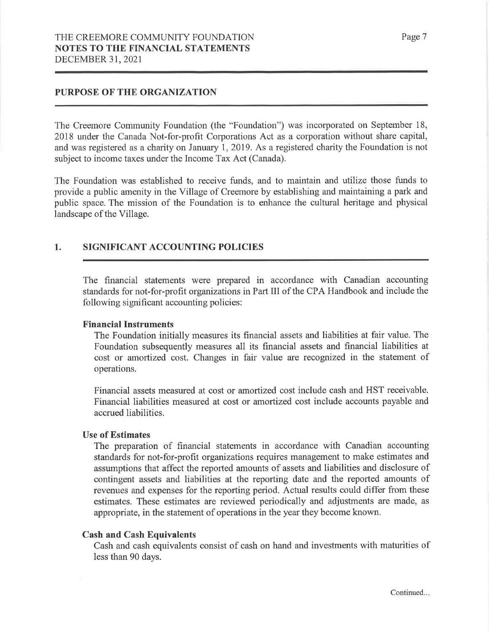# PURPOSE OF THE ORGANIZATION

The Creemore Community Foundation (the "Foundation") was incorporated on September 18, 2018 under the Canada Not-for-profit Corporations Act as a corporation without share capital, and was registered as a charity on January 1,2019. As a registered charity the Foundation is not subject to income taxes under the Income Tax Act (Canada).

The Foundation was established to receive funds, and to maintain and utilize those funds to provide a public amenity in the Village of Creemore by establishing and maintaining a park and public space. The mission of the Foundation is to enhance the cultural heritage and physical landscape of the Village.

# 1. SIGNIFICANT ACCOUNTING POLICIES

The financial statements were prepared in accordance with Canadian accounting standards for not-for-profit organizations in Part III of the CPA Handbook and include the following significant accounting policies:

### Financial Instruments

The Foundation initially measures its financial assets and liabilities at fair value. The Foundation subsequently measures all its financial assets and financial liabilities at cost or amortized cost. Changes in fair value are recognized in the statement of operations.

Financial assets measured at cost or amortized cost include cash and HST receivable. Financial liabilities measured at cost or amortized cost include accounts payable and accrued liabilities.

### Use of Estimates

The preparation of financial statements in accordance with Canadian accounting standards for not-for-profit organizations requires management to make estimates and assumptions that affect the reported amounts of assets and liabilities and disclosure of contingent assets and liabilities at the reporting date and the reported amounts of revenues and expenses for the reporting period. Actual results could differ from these estimates. These estimates are reviewed periodically and adjustments are made, as appropriate, in the statement of operations in the year they become known.

#### Cash and Cash Equivalents

Cash and cash equivalents consist of cash on hand and investments with maturities of less than 90 days.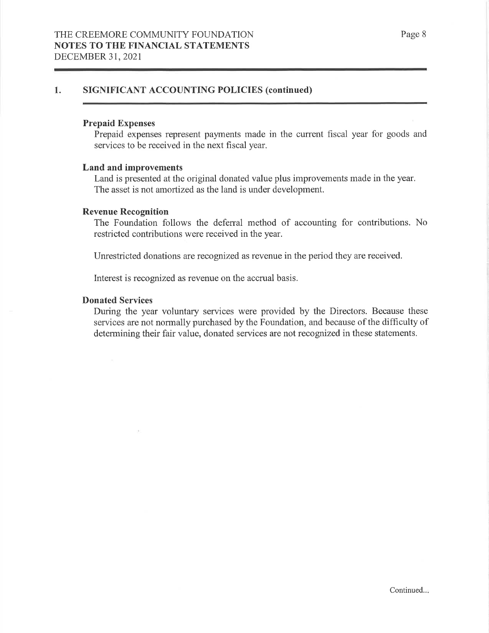# 1. SIGNIFICANT ACCOUNTING POLICIES (continued)

#### Prepaid Expenses

Prepaid expenses represent payments made in the current fiscal year for goods and services to be received in the next fiscal year.

### Land and improvements

Land is presented at the original donated value plus improvements made in the year. The asset is not amortized as the land is under development.

### Revenue Recognition

The Foundation follows the deferral method of accounting for contributions. No restricted contributions were received in the year.

Unrestricted donations are recognized as revenue in the period they are received.

Interest is recognized as revenue on the accrual basis.

### Donated Services

During the year voluntary services were provided by the Directors. Because these services are not normally purchased by the Foundation, and because of the difficulty of determining their fair value, donated services are not recognized in these statements.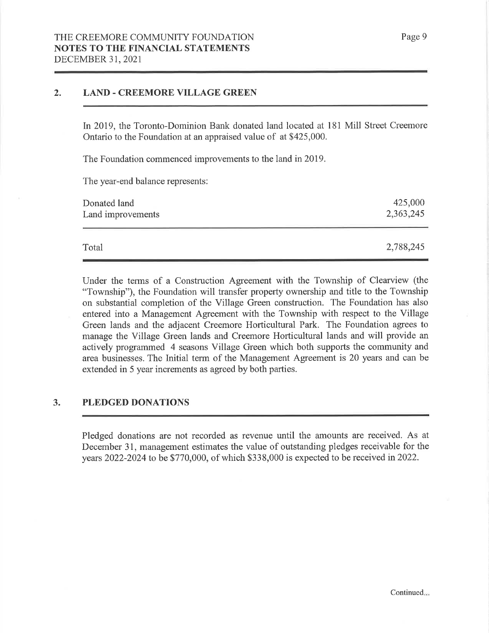## 2. LAND - CREEMORE VILLAGE GREEN

In2019, the Toronto-Dominion Bank donated land located at 181 Mill Street Creemore Ontario to the Foundation at an appraised value of at \$425,000.

The Foundation commenced improvements to the land in2019.

The year-end balance represents:

| Donated land      | 425,000   |
|-------------------|-----------|
| Land improvements | 2,363,245 |
| Total             | 2,788,245 |

Under the terms of a Construction Agreement with the Township of Clearview (the "Township"), the Foundation will transfer property ownership and title to the Township on substantial completion of the Village Green construction. The Foundation has also entered into a Management Agreement with the Township with respect to the Village Green lands and the adjacent Creemore Horticultural Park. The Foundation agrees to manage the Village Green lands and Creemore Horticultural lands and will provide an actively programmed 4 seasons Village Green which both supports the community and area businesses. The Initial term of the Management Agreement is 20 years and can be extended in 5 year increments as agreed by both parties.

## 3. PLEDGED DONATIONS

Pledged donations are not recorded as revenue until the amounts are received. As at December 31, management estimates the value of outstanding pledges receivable for the years2022-2024 to be \$770,000, of which \$338,000 is expected to be received in2022.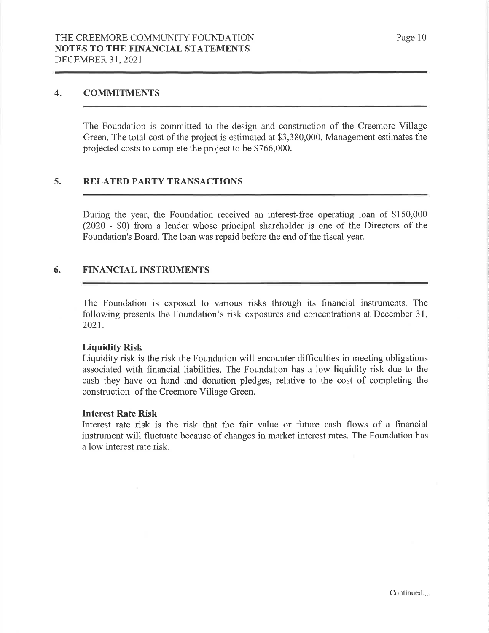# 4. COMMITMENTS

The Foundation is committed to the design and construction of the Creemore Village Green. The total cost of the project is estimated at \$3,380,000. Management estimates the projected costs to complete the project to be \$766,000.

## 5. RELATED PARTY TRANSACTIONS

During the year, the Foundation received an interest-free operating loan of \$150,000 (2020 - \$0) from a lender whose principal shareholder is one of the Directors of the Foundation's Board. The loan was repaid before the end of the fiscal year.

## 6. FINANCIAL INSTRUMENTS

The Foundation is exposed to various risks through its financial instruments. The following presents the Foundation's risk exposures and concentrations at December 3I, 202t,

### Liquidity Risk

Liquidity risk is the risk the Foundation will encounter difficulties in meeting obligations associated with financial liabilities. The Foundation has a low liquidity risk due to the cash they have on hand and donation pledges, relative to the cost of completing the construction of the Creemore Village Green.

### Interest Rate Risk

Interest rate risk is the risk that the fair value or future cash flows of a financial instrument will fluctuate because of changes in market interest rates. The Foundation has a low interest rate risk.